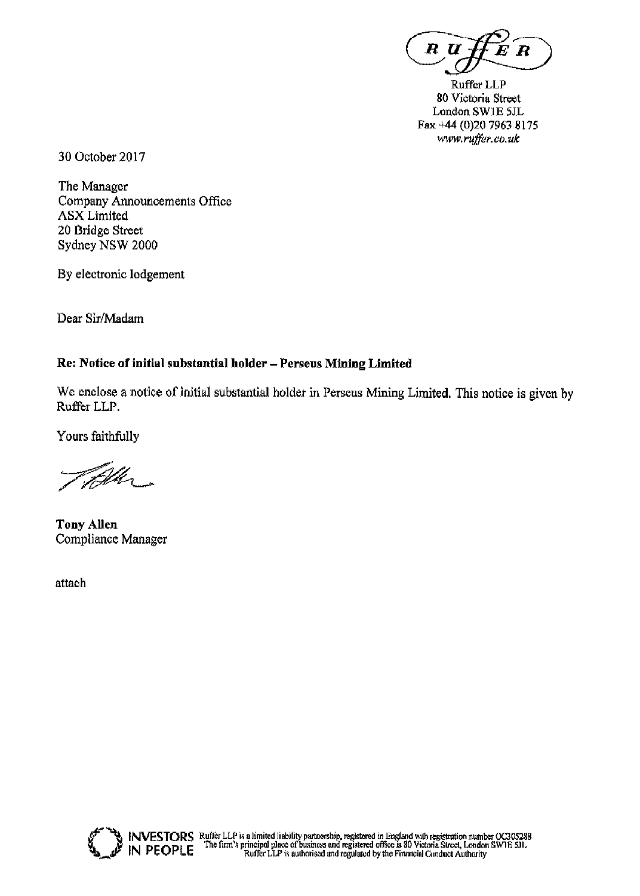R U

Ruffer LLP 80 Victoria Street London SW1E 5JL Fax +44 (0)20 7963 8175 www.ruffer.co.uk

30 October 2017

The Manager **Company Announcements Office ASX** Limited 20 Bridge Street Sydney NSW 2000

By electronic lodgement

Dear Sir/Madam

### Re: Notice of initial substantial holder - Perseus Mining Limited

We enclose a notice of initial substantial holder in Perseus Mining Limited. This notice is given by Ruffer LLP.

Yours faithfully

Vd.

**Tony Allen** Compliance Manager

attach

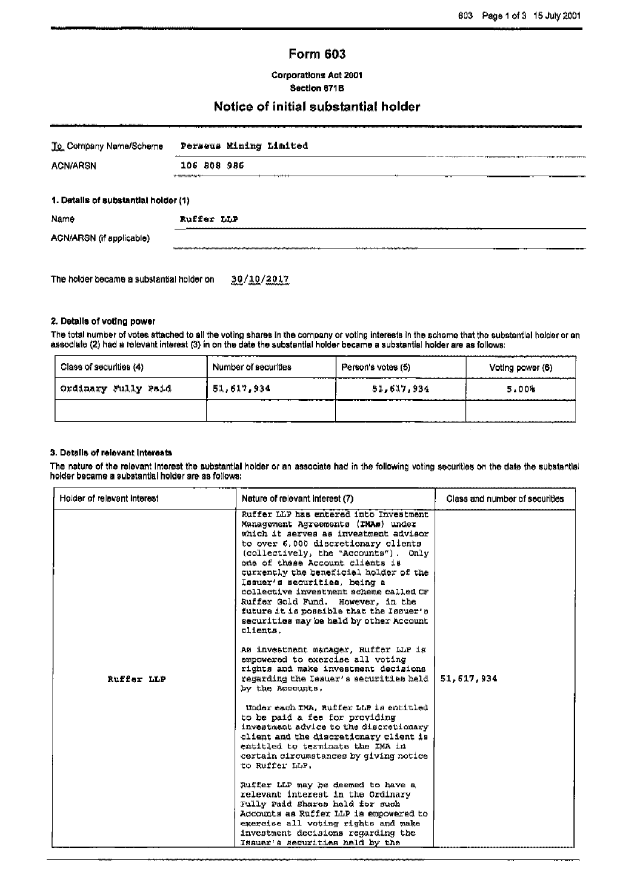### **Form 603**

**Corporations Act 2001** Section 671B

# Notice of initial substantial holder

| To Company Name/Scheme               | Perseus Mining Limited |  |  |  |
|--------------------------------------|------------------------|--|--|--|
| <b>ACN/ARSN</b>                      | 106 808 986            |  |  |  |
| 1. Details of substantial holder (1) |                        |  |  |  |
| Name                                 | Ruffer LLP             |  |  |  |
| ACN/ARSN (if applicable)             |                        |  |  |  |
|                                      |                        |  |  |  |

The holder became a substantial holder on 30/10/2017

### 2. Details of voting power

The total number of votes attached to all the voting shares in the company or voting interests in the schome that the substantial holder or an associate (2) had a relevant interest (3) in on the date the substantial holder became a substantial holder are as follows:

| Class of securities (4) | Number of securities | Person's votes (5) | Voting power (6) |  |
|-------------------------|----------------------|--------------------|------------------|--|
| Ordinary Fully Paid     | 51, 617, 934         | 51,617,934         | 5.00%            |  |
|                         |                      |                    |                  |  |
|                         |                      |                    |                  |  |

#### 3. Details of relevant interests

The nature of the relevant interest the substantial holder or an associate had in the following voting securities on the date the substantial holder became a substantial holder are as follows:

| Holder of relevant interest | Nature of relevant interest (7)                                                                                                                                                                                                                                                                                                                                                                                                                                                                    |            |
|-----------------------------|----------------------------------------------------------------------------------------------------------------------------------------------------------------------------------------------------------------------------------------------------------------------------------------------------------------------------------------------------------------------------------------------------------------------------------------------------------------------------------------------------|------------|
|                             | Ruffer LLP has entered into Investment<br>Management Agreements (TMAs) under<br>which it serves as investment advisor<br>to over 6,000 discretionary clients<br>(collectively, the "Accounts"). Only<br>one of these Account clients is<br>currently the beneficial holder of the<br>Issuer's securities, being a<br>collective investment scheme called CF<br>Ruffer Gold Fund. However, in the<br>future it is possible that the Issuer's<br>securities may be held by other Account<br>clients. |            |
| Ruffer LLP                  | As investment manager, Ruffer LLP is<br>empowered to exercise all voting<br>rights and make investment decisions<br>regarding the Issuer's securities held<br>by the Accounts.                                                                                                                                                                                                                                                                                                                     | 51,617,934 |
|                             | Under each IMA, Ruffer LLP is entitled<br>to be paid a fee for providing<br>investment advice to the discretionary<br>client and the discretionary client is<br>entitled to terminate the IMA in<br>certain circumstances by giving notice<br>to Ruffer LLP.                                                                                                                                                                                                                                       |            |
|                             | Ruffer LLP may be deemed to have a<br>relevant interest in the Ordinary<br>Fully Paid Shares held for such<br>Accounts as Ruffer LLP is empowered to<br>exercise all voting rights and make<br>investment decisions regarding the<br>Issuer's securities held by the                                                                                                                                                                                                                               |            |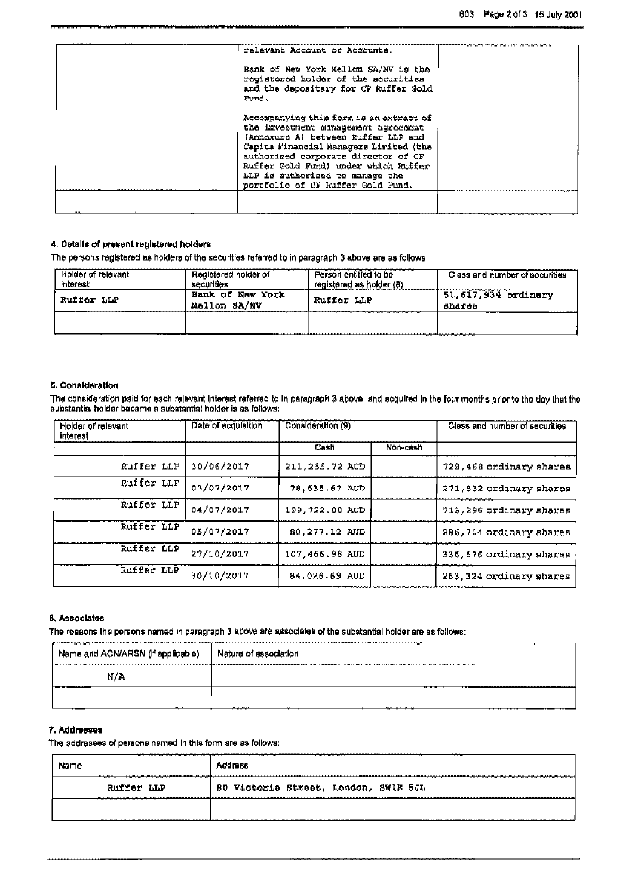| relevant Account or Accounts.                                                                                                                                                                                                                                                                                          |  |
|------------------------------------------------------------------------------------------------------------------------------------------------------------------------------------------------------------------------------------------------------------------------------------------------------------------------|--|
| Bank of New York Mellon SA/NV is the<br>registered holder of the securities<br>and the depositary for CF Ruffer Gold<br>Fund.                                                                                                                                                                                          |  |
| Accompanying this form is an extract of<br>the investment management agreement<br>(Annexure A) between Ruffer LLP and<br>Capita Financial Managers Limited (the<br>authoriged corporate director of CF<br>Ruffer Gold Fund) under which Ruffer<br>LLP is authorised to manage the<br>portfolio of CF Ruffer Gold Fund. |  |
|                                                                                                                                                                                                                                                                                                                        |  |

### 4. Details of present registered holders

The persons registered as holders of the securities referred to in paragraph 3 above are as follows:

| relevant<br>interest                                                  | Registered holder of<br>securities           | Person entitled to be<br>registered as<br>holder | Class and number of securities                              |
|-----------------------------------------------------------------------|----------------------------------------------|--------------------------------------------------|-------------------------------------------------------------|
| Ruffer LLP<br>----------------------------<br>----------------------- | York<br>Nmw<br>оt<br>Bank<br>BA/NV<br>Mellon | Ruffer LLP                                       | 51,617,934 ordinary<br><b>Bhares</b><br>------------------- |
|                                                                       |                                              |                                                  | ---                                                         |

#### 5. Consideration

The consideration paid for each relevant interest referred to in paragraph 3 above, and acquired in the four months prior to the day that the substantial holder became a substantial holder became a substantial holder is as

| Holder of relevant<br>interest | Consideration (9)<br>Date of acquisition |                |          | Class and number of securities |  |
|--------------------------------|------------------------------------------|----------------|----------|--------------------------------|--|
|                                |                                          | Cash           | Non-cash |                                |  |
| Ruffer LLP                     | 30/06/2017                               | 211,255.72 AUD |          | 728, 468 ordinary shares       |  |
| Ruffer LLP                     | 03/07/2017                               | 78.635.67 AUD  |          | 271,532 ordinary shares        |  |
| Ruffer LLP                     | 04/07/2017                               | 199,722.88 AUD |          | 713, 296 ordinary shares       |  |
| Ruffer LLP                     | 05/07/2017                               | 80,277.12 AUD  |          | 286,704 ordinary shares        |  |
| Ruffer LLP                     | 27/10/2017                               | 107,466.98 AUD |          | 336,676 ordinary shares        |  |
| Ruffer LLP                     | 30/10/2017                               | 84,026.69 AUD  |          | 263, 324 ordinary shares       |  |

#### 6. Associates

The reasons the persons named in paragraph 3 above are associates of the substantial holder are as follows:

| Name and ACN/ARSN (if applicable) | Nature of association |  |  |
|-----------------------------------|-----------------------|--|--|
| II/A                              |                       |  |  |
|                                   |                       |  |  |

### 7. Addresses

The addresses of persons named in this form are as follows:

| Ruffer LLP | 80 Victoria Street, London, SWIE 5JL |  |
|------------|--------------------------------------|--|
|            |                                      |  |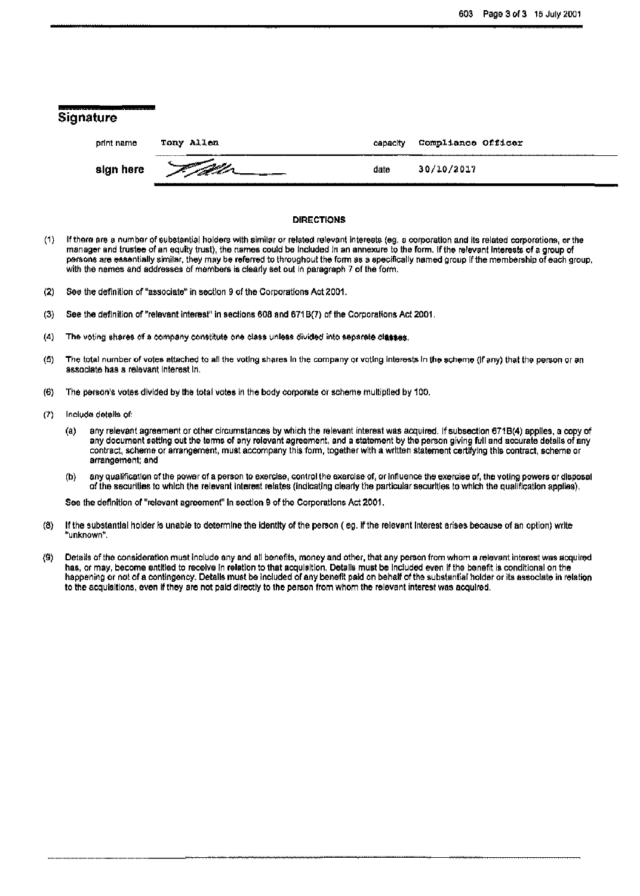| The first service and construction of the first<br>Contractor of the theory of<br><b>Signature</b> |                                                                                                                                                                                                                                      |          |                    |
|----------------------------------------------------------------------------------------------------|--------------------------------------------------------------------------------------------------------------------------------------------------------------------------------------------------------------------------------------|----------|--------------------|
| print name                                                                                         | Tony Allen                                                                                                                                                                                                                           | capacity | Compliance Officer |
| sign here                                                                                          | <u> Indian Samuel Sandard Samuel School (1986) en die Soos ander Soos ander Soos ander Soos ander Soos ander Soos ander Soos ander Soos ander Soos ander Soos ander Soos ander Soos ander Soos ander Soos ander Soos ander Soos </u> | date     | 30/10/2017         |

#### **DIRECTIONS**

- $(1)$ If there are a number of substantial holders with similar or related relevant interests (eq. a corporation and its related corporations, or the manager and trustee of an equity trust), the names could be included in an annexure to the form. If the relevant interests of a group of persons are essentially similar, they may be referred to throughout the form as a specifically named group if the membership of each group, with the names and addresses of members is clearly set out in paragraph 7 of the form,
- $(2)$ See the definition of "associate" in section 9 of the Corporations Act 2001.
- See the definition of "relevant interest" in sections 608 and 671B(7) of the Corporations Act 2001.  $(3)$
- $(4)$ The voting shares of a company constitute one class unless divided into separate classes.
- The total number of votes attached to all the voting shares in the company or voting interests in the scheme (if any) that the person or an  $(5)$ associate has a relevant interest in.
- $(6)$ The person's votes divided by the total votes in the body corporate or scheme multiplied by 100.
- $(7)$ Include details of:
	- any relevant agreement or other circumstances by which the relevant interest was acquired. If subsection 671B(4) applies, a copy of  $\left( a\right)$ any document setting out the terms of any relevant agreement, and a statement by the person giving full and accurate details of any contract, scheme or arrangement, must accompany this form, together with a written statement certifying this contract, scheme or arrangement; and
	- any qualification of the power of a person to exercise, control the exercise of, or influence the exercise of, the voting powers or disposal  $(b)$ of the securities to which the relevant interest relates (indicating clearly the particular securities to which the qualification applies).

See the definition of "relevant agreement" in section 9 of the Corporations Act 2001.

- If the substantial holder is unable to determine the identity of the person (eg. if the relevant interest arises because of an option) write  $(8)$ "unknown".
- Details of the consideration must include any and all benefits, money and other, that any person from whom a relevant interest was acquired  $(9)$ has, or may, become entitled to receive in relation to that acquisition. Details must be included even if the benefit is conditional on the happening or not of a contingency. Details must be included of any benefit paid on behalf of the substantial holder or its associate in relation to the acquisitions, even if they are not paid directly to the person from whom the relevant interest was acquired.